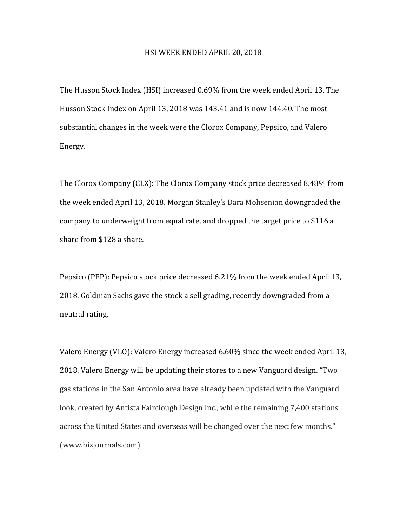## HSI WEEK ENDED APRIL 20, 2018

The Husson Stock Index (HSI) increased 0.69% from the week ended April 13. The Husson Stock Index on April 13, 2018 was 143.41 and is now 144.40. The most substantial changes in the week were the Clorox Company, Pepsico, and Valero Energy. 

The Clorox Company (CLX): The Clorox Company stock price decreased 8.48% from the week ended April 13, 2018. Morgan Stanley's Dara Mohsenian downgraded the company to underweight from equal rate, and dropped the target price to \$116 a share from \$128 a share.

Pepsico (PEP): Pepsico stock price decreased 6.21% from the week ended April 13, 2018. Goldman Sachs gave the stock a sell grading, recently downgraded from a neutral rating.

Valero Energy (VLO): Valero Energy increased  $6.60\%$  since the week ended April 13, 2018. Valero Energy will be updating their stores to a new Vanguard design. "Two gas stations in the San Antonio area have already been updated with the Vanguard look, created by Antista Fairclough Design Inc., while the remaining 7,400 stations across the United States and overseas will be changed over the next few months." (www.bizjournals.com)